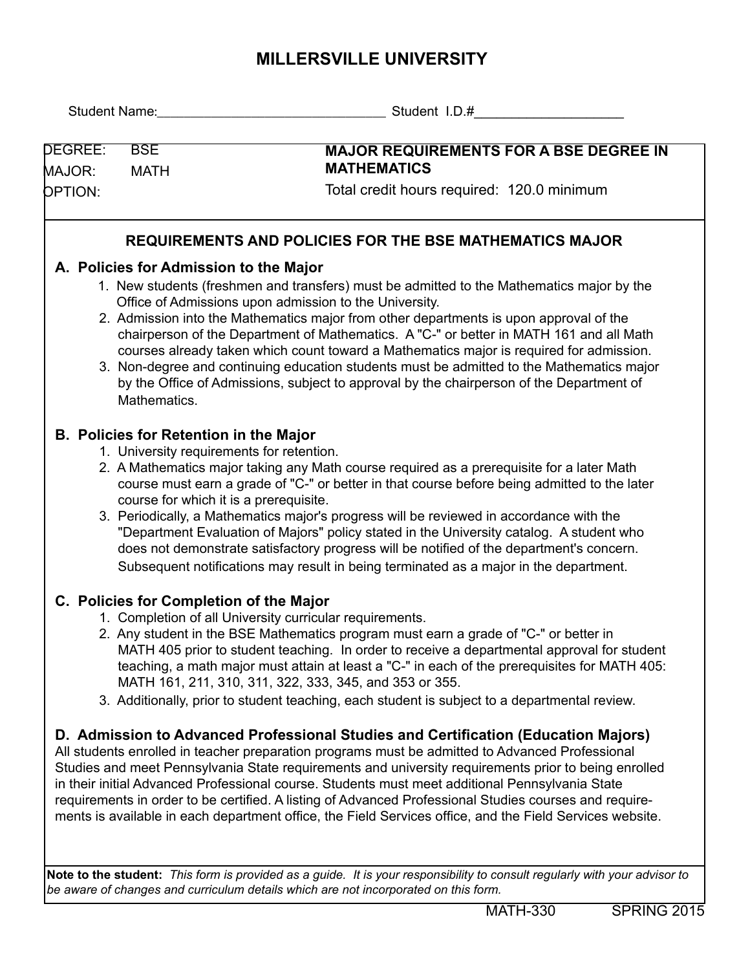## **MILLERSVILLE UNIVERSITY**

|                   |                                                                                                                                                                                                                                                                                                                                                                                                                                                                                                                                                                                                                                                                                                               | Student Name: Student I.D.#                                                                                                                                                                                                                                                                                                                                                                                                                                                                                                                                                                                                                                                                           |  |  |  |  |  |  |
|-------------------|---------------------------------------------------------------------------------------------------------------------------------------------------------------------------------------------------------------------------------------------------------------------------------------------------------------------------------------------------------------------------------------------------------------------------------------------------------------------------------------------------------------------------------------------------------------------------------------------------------------------------------------------------------------------------------------------------------------|-------------------------------------------------------------------------------------------------------------------------------------------------------------------------------------------------------------------------------------------------------------------------------------------------------------------------------------------------------------------------------------------------------------------------------------------------------------------------------------------------------------------------------------------------------------------------------------------------------------------------------------------------------------------------------------------------------|--|--|--|--|--|--|
| DEGREE:<br>MAJOR: | <b>BSE</b><br><b>MATH</b>                                                                                                                                                                                                                                                                                                                                                                                                                                                                                                                                                                                                                                                                                     | <b>MAJOR REQUIREMENTS FOR A BSE DEGREE IN</b><br><b>MATHEMATICS</b>                                                                                                                                                                                                                                                                                                                                                                                                                                                                                                                                                                                                                                   |  |  |  |  |  |  |
| <b>OPTION:</b>    |                                                                                                                                                                                                                                                                                                                                                                                                                                                                                                                                                                                                                                                                                                               | Total credit hours required: 120.0 minimum                                                                                                                                                                                                                                                                                                                                                                                                                                                                                                                                                                                                                                                            |  |  |  |  |  |  |
|                   |                                                                                                                                                                                                                                                                                                                                                                                                                                                                                                                                                                                                                                                                                                               | <b>REQUIREMENTS AND POLICIES FOR THE BSE MATHEMATICS MAJOR</b>                                                                                                                                                                                                                                                                                                                                                                                                                                                                                                                                                                                                                                        |  |  |  |  |  |  |
|                   | A. Policies for Admission to the Major<br>Mathematics.                                                                                                                                                                                                                                                                                                                                                                                                                                                                                                                                                                                                                                                        | 1. New students (freshmen and transfers) must be admitted to the Mathematics major by the<br>Office of Admissions upon admission to the University.<br>2. Admission into the Mathematics major from other departments is upon approval of the<br>chairperson of the Department of Mathematics. A "C-" or better in MATH 161 and all Math<br>courses already taken which count toward a Mathematics major is required for admission.<br>3. Non-degree and continuing education students must be admitted to the Mathematics major<br>by the Office of Admissions, subject to approval by the chairperson of the Department of                                                                          |  |  |  |  |  |  |
|                   | <b>B. Policies for Retention in the Major</b><br>1. University requirements for retention.<br>2. A Mathematics major taking any Math course required as a prerequisite for a later Math<br>course must earn a grade of "C-" or better in that course before being admitted to the later<br>course for which it is a prerequisite.<br>3. Periodically, a Mathematics major's progress will be reviewed in accordance with the<br>"Department Evaluation of Majors" policy stated in the University catalog. A student who<br>does not demonstrate satisfactory progress will be notified of the department's concern.<br>Subsequent notifications may result in being terminated as a major in the department. |                                                                                                                                                                                                                                                                                                                                                                                                                                                                                                                                                                                                                                                                                                       |  |  |  |  |  |  |
|                   | C. Policies for Completion of the Major                                                                                                                                                                                                                                                                                                                                                                                                                                                                                                                                                                                                                                                                       | 1. Completion of all University curricular requirements.<br>2. Any student in the BSE Mathematics program must earn a grade of "C-" or better in<br>MATH 405 prior to student teaching. In order to receive a departmental approval for student<br>teaching, a math major must attain at least a "C-" in each of the prerequisites for MATH 405:<br>MATH 161, 211, 310, 311, 322, 333, 345, and 353 or 355.<br>3. Additionally, prior to student teaching, each student is subject to a departmental review.<br>D. Admission to Advanced Professional Studies and Certification (Education Majors)<br>All students enrolled in teacher preparation programs must be admitted to Advanced Professional |  |  |  |  |  |  |
|                   |                                                                                                                                                                                                                                                                                                                                                                                                                                                                                                                                                                                                                                                                                                               | Studies and meet Pennsylvania State requirements and university requirements prior to being enrolled<br>in their initial Advanced Professional course. Students must meet additional Pennsylvania State<br>requirements in order to be certified. A listing of Advanced Professional Studies courses and require-<br>ments is available in each department office, the Field Services office, and the Field Services website.                                                                                                                                                                                                                                                                         |  |  |  |  |  |  |
|                   |                                                                                                                                                                                                                                                                                                                                                                                                                                                                                                                                                                                                                                                                                                               | Note to the student: This form is provided as a guide. It is your responsibility to consult regularly with your advisor to<br>be aware of changes and curriculum details which are not incorporated on this form.                                                                                                                                                                                                                                                                                                                                                                                                                                                                                     |  |  |  |  |  |  |